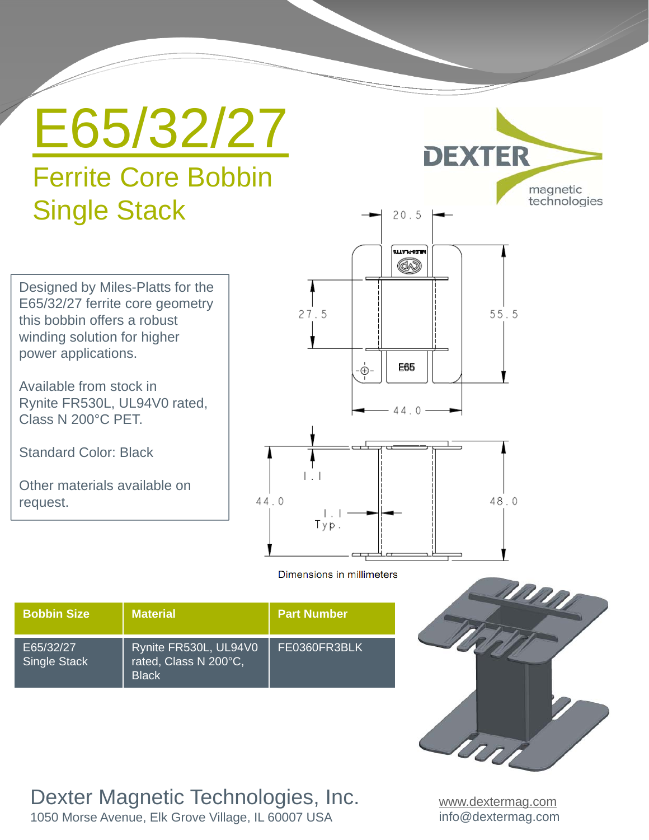

| <b>BODDIN SIZE</b>               | <b>Material</b>                                                | - Part Number |
|----------------------------------|----------------------------------------------------------------|---------------|
| E65/32/27<br><b>Single Stack</b> | Rynite FR530L, UL94V0<br>rated, Class N 200°C,<br><b>Black</b> | FE0360FR3BLK  |

Dexter Magnetic Technologies, Inc.

1050 Morse Avenue, Elk Grove Village, IL 60007 USA

www.dextermag.com info@dextermag.com

 $\mathcal{L}$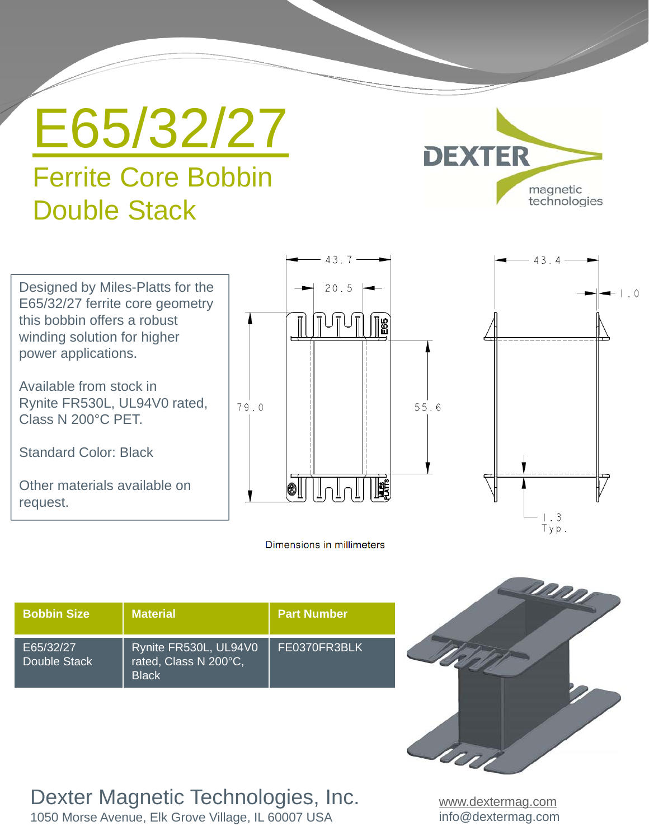## E65/32/27

### Ferrite Core Bobbin Double Stack

**DEXTER** magnetic technologies

Designed by Miles-Platts for the E65/32/27 ferrite core geometry this bobbin offers a robust winding solution for higher power applications.

Available from stock in Rynite FR530L, UL94V0 rated, Class N 200°C PET.

Standard Color: Black

Other materials available on request.







| Bobbin Size <sup>1</sup>  | <b>Material</b>                                                | <b>Part Number</b> |
|---------------------------|----------------------------------------------------------------|--------------------|
| E65/32/27<br>Double Stack | Rynite FR530L, UL94V0<br>rated, Class N 200°C,<br><b>Black</b> | FE0370FR3BLK       |

Dexter Magnetic Technologies, Inc. 1050 Morse Avenue, Elk Grove Village, IL 60007 USA

U

www.dextermag.com info@dextermag.com